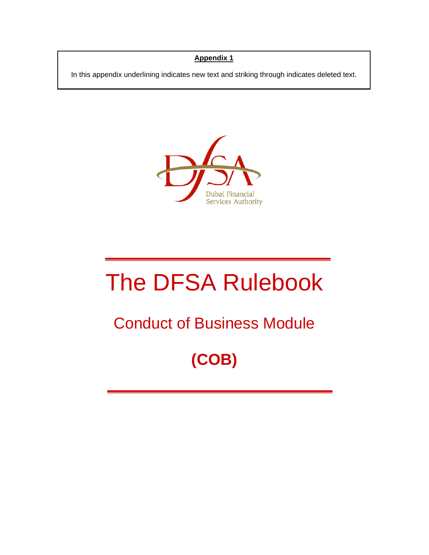## **Appendix 1**

In this appendix underlining indicates new text and striking through indicates deleted text.



# The DFSA Rulebook

## Conduct of Business Module

## **(COB)**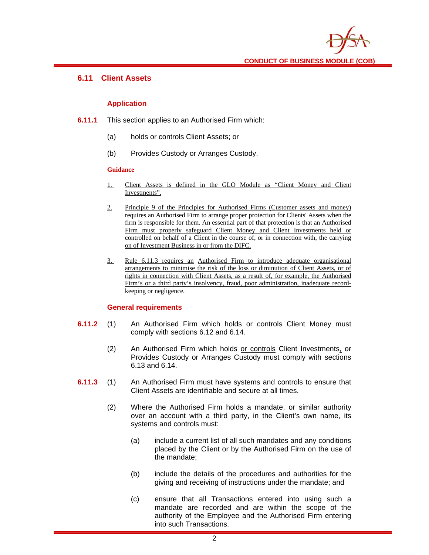

#### **6.11 Client Assets**

#### **Application**

- **6.11.1** This section applies to an Authorised Firm which:
	- (a) holds or controls Client Assets; or
	- (b) Provides Custody or Arranges Custody.

#### **Guidance**

- 1. Client Assets is defined in the GLO Module as "Client Money and Client Investments".
- 2. Principle 9 of the Principles for Authorised Firms (Customer assets and money) requires an Authorised Firm to arrange proper protection for Clients' Assets when the firm is responsible for them. An essential part of that protection is that an Authorised Firm must properly safeguard Client Money and Client Investments held or controlled on behalf of a Client in the course of, or in connection with, the carrying on of Investment Business in or from the DIFC.
- 3. Rule 6.11.3 requires an Authorised Firm to introduce adequate organisational arrangements to minimise the risk of the loss or diminution of Client Assets, or of rights in connection with Client Assets, as a result of, for example, the Authorised Firm's or a third party's insolvency, fraud, poor administration, inadequate recordkeeping or negligence.

#### **General requirements**

- **6.11.2** (1) An Authorised Firm which holds or controls Client Money must comply with sections 6.12 and 6.14.
	- (2) An Authorised Firm which holds or controls Client Investments, or Provides Custody or Arranges Custody must comply with sections 6.13 and 6.14.
- **6.11.3** (1) An Authorised Firm must have systems and controls to ensure that Client Assets are identifiable and secure at all times.
	- (2) Where the Authorised Firm holds a mandate, or similar authority over an account with a third party, in the Client's own name, its systems and controls must:
		- (a) include a current list of all such mandates and any conditions placed by the Client or by the Authorised Firm on the use of the mandate;
		- (b) include the details of the procedures and authorities for the giving and receiving of instructions under the mandate; and
		- (c) ensure that all Transactions entered into using such a mandate are recorded and are within the scope of the authority of the Employee and the Authorised Firm entering into such Transactions.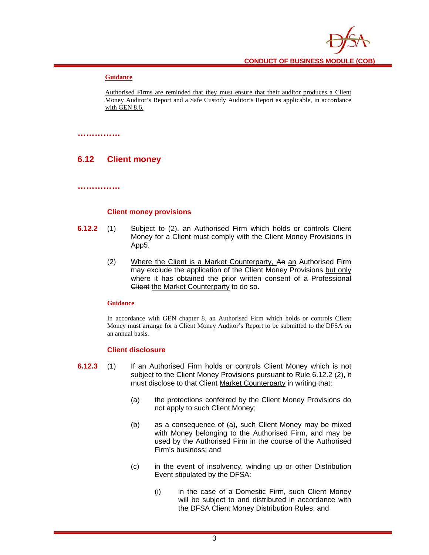#### **Guidance**

Authorised Firms are reminded that they must ensure that their auditor produces a Client Money Auditor's Report and a Safe Custody Auditor's Report as applicable, in accordance with GEN 8.6.

#### **……………**

## **6.12 Client money**

**……………** 

#### **Client money provisions**

- **6.12.2** (1) Subject to (2), an Authorised Firm which holds or controls Client Money for a Client must comply with the Client Money Provisions in App5.
	- (2) Where the Client is a Market Counterparty, An an Authorised Firm may exclude the application of the Client Money Provisions but only where it has obtained the prior written consent of a Professional Client the Market Counterparty to do so.

#### **Guidance**

In accordance with GEN chapter 8, an Authorised Firm which holds or controls Client Money must arrange for a Client Money Auditor's Report to be submitted to the DFSA on an annual basis.

#### **Client disclosure**

- **6.12.3** (1) If an Authorised Firm holds or controls Client Money which is not subject to the Client Money Provisions pursuant to Rule 6.12.2 (2), it must disclose to that Client Market Counterparty in writing that:
	- (a) the protections conferred by the Client Money Provisions do not apply to such Client Money;
	- (b) as a consequence of (a), such Client Money may be mixed with Money belonging to the Authorised Firm, and may be used by the Authorised Firm in the course of the Authorised Firm's business; and
	- (c) in the event of insolvency, winding up or other Distribution Event stipulated by the DFSA:
		- (i) in the case of a Domestic Firm, such Client Money will be subject to and distributed in accordance with the DFSA Client Money Distribution Rules; and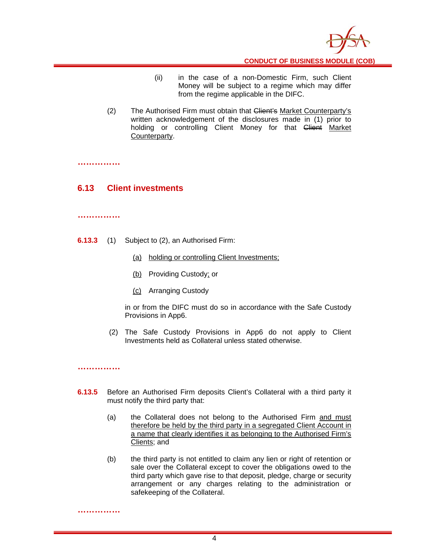

**CONDUCT OF BUSINESS MODULE (COB)** 

- (ii) in the case of a non-Domestic Firm, such Client Money will be subject to a regime which may differ from the regime applicable in the DIFC.
- (2) The Authorised Firm must obtain that Client's Market Counterparty's written acknowledgement of the disclosures made in (1) prior to holding or controlling Client Money for that Client Market Counterparty.

**……………** 

#### **6.13 Client investments**

#### **……………**

- **6.13.3** (1) Subject to (2), an Authorised Firm:
	- (a) holding or controlling Client Investments;
	- (b) Providing Custody; or
	- (c) Arranging Custody

in or from the DIFC must do so in accordance with the Safe Custody Provisions in App6.

(2) The Safe Custody Provisions in App6 do not apply to Client Investments held as Collateral unless stated otherwise.

**……………** 

**……………** 

- **6.13.5** Before an Authorised Firm deposits Client's Collateral with a third party it must notify the third party that:
	- (a) the Collateral does not belong to the Authorised Firm and must therefore be held by the third party in a segregated Client Account in a name that clearly identifies it as belonging to the Authorised Firm's Clients; and
	- (b) the third party is not entitled to claim any lien or right of retention or sale over the Collateral except to cover the obligations owed to the third party which gave rise to that deposit, pledge, charge or security arrangement or any charges relating to the administration or safekeeping of the Collateral.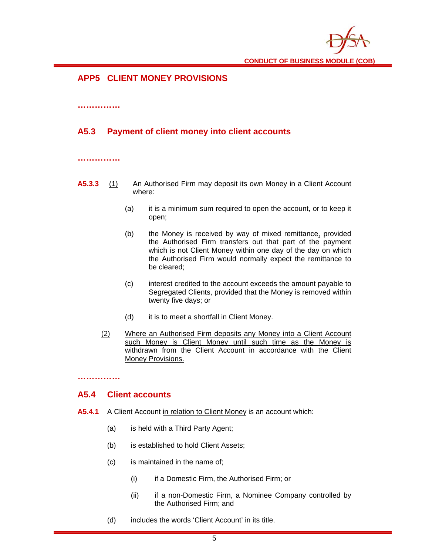

**CONDUCT OF BUSINESS MODULE (COB)** 

## **APP5 CLIENT MONEY PROVISIONS**

#### **……………**

## **A5.3 Payment of client money into client accounts**

**……………** 

- **A5.3.3** (1) An Authorised Firm may deposit its own Money in a Client Account where:
	- (a) it is a minimum sum required to open the account, or to keep it open;
	- (b) the Money is received by way of mixed remittance, provided the Authorised Firm transfers out that part of the payment which is not Client Money within one day of the day on which the Authorised Firm would normally expect the remittance to be cleared;
	- (c) interest credited to the account exceeds the amount payable to Segregated Clients, provided that the Money is removed within twenty five days; or
	- (d) it is to meet a shortfall in Client Money.
	- (2) Where an Authorised Firm deposits any Money into a Client Account such Money is Client Money until such time as the Money is withdrawn from the Client Account in accordance with the Client Money Provisions.

**……………** 

#### **A5.4 Client accounts**

- **A5.4.1** A Client Account in relation to Client Money is an account which:
	- (a) is held with a Third Party Agent;
	- (b) is established to hold Client Assets;
	- (c) is maintained in the name of;
		- (i) if a Domestic Firm, the Authorised Firm; or
		- (ii) if a non-Domestic Firm, a Nominee Company controlled by the Authorised Firm; and
	- (d) includes the words 'Client Account' in its title.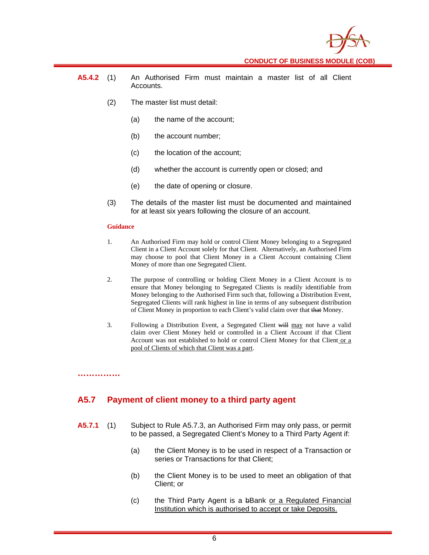

- **A5.4.2** (1) An Authorised Firm must maintain a master list of all Client Accounts.
	- (2) The master list must detail:
		- (a) the name of the account;
		- (b) the account number;
		- (c) the location of the account;
		- (d) whether the account is currently open or closed; and
		- (e) the date of opening or closure.
	- (3) The details of the master list must be documented and maintained for at least six years following the closure of an account.

#### **Guidance**

**……………** 

- 1. An Authorised Firm may hold or control Client Money belonging to a Segregated Client in a Client Account solely for that Client. Alternatively, an Authorised Firm may choose to pool that Client Money in a Client Account containing Client Money of more than one Segregated Client.
- 2. The purpose of controlling or holding Client Money in a Client Account is to ensure that Money belonging to Segregated Clients is readily identifiable from Money belonging to the Authorised Firm such that, following a Distribution Event, Segregated Clients will rank highest in line in terms of any subsequent distribution of Client Money in proportion to each Client's valid claim over that that Money.
- 3. Following a Distribution Event, a Segregated Client will may not have a valid claim over Client Money held or controlled in a Client Account if that Client Account was not established to hold or control Client Money for that Client or a pool of Clients of which that Client was a part.

## **A5.7 Payment of client money to a third party agent**

- **A5.7.1** (1) Subject to Rule A5.7.3, an Authorised Firm may only pass, or permit to be passed, a Segregated Client's Money to a Third Party Agent if:
	- (a) the Client Money is to be used in respect of a Transaction or series or Transactions for that Client;
	- (b) the Client Money is to be used to meet an obligation of that Client; or
	- (c) the Third Party Agent is a bBank or a Regulated Financial Institution which is authorised to accept or take Deposits.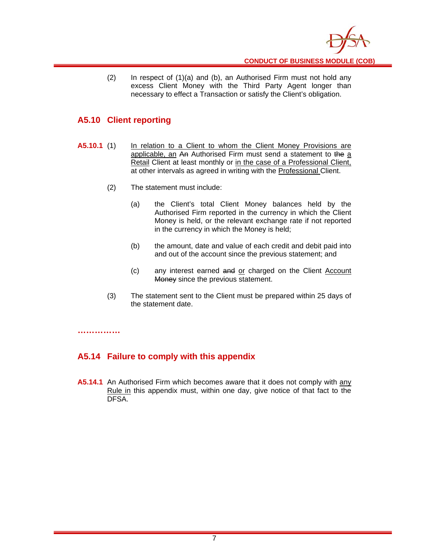

(2) In respect of (1)(a) and (b), an Authorised Firm must not hold any excess Client Money with the Third Party Agent longer than necessary to effect a Transaction or satisfy the Client's obligation.

## **A5.10 Client reporting**

- **A5.10.1** (1) In relation to a Client to whom the Client Money Provisions are applicable, an An Authorised Firm must send a statement to the a Retail Client at least monthly or in the case of a Professional Client, at other intervals as agreed in writing with the Professional Client.
	- (2) The statement must include:
		- (a) the Client's total Client Money balances held by the Authorised Firm reported in the currency in which the Client Money is held, or the relevant exchange rate if not reported in the currency in which the Money is held;
		- (b) the amount, date and value of each credit and debit paid into and out of the account since the previous statement; and
		- (c) any interest earned and or charged on the Client Account Money since the previous statement.
	- (3) The statement sent to the Client must be prepared within 25 days of the statement date.

**……………** 

## **A5.14 Failure to comply with this appendix**

**A5.14.1** An Authorised Firm which becomes aware that it does not comply with any Rule in this appendix must, within one day, give notice of that fact to the DFSA.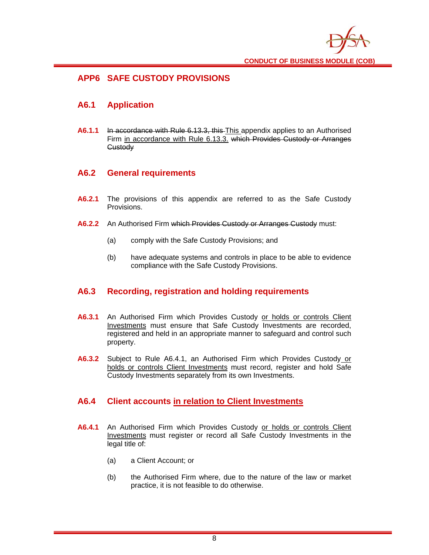

## **APP6 SAFE CUSTODY PROVISIONS**

## **A6.1 Application**

**A6.1.1** In accordance with Rule 6.13.3, this This appendix applies to an Authorised Firm in accordance with Rule 6.13.3. which Provides Custody or Arranges **Custody** 

### **A6.2 General requirements**

- **A6.2.1** The provisions of this appendix are referred to as the Safe Custody Provisions.
- **A6.2.2** An Authorised Firm which Provides Custody or Arranges Custody must:
	- (a) comply with the Safe Custody Provisions; and
	- (b) have adequate systems and controls in place to be able to evidence compliance with the Safe Custody Provisions.

## **A6.3 Recording, registration and holding requirements**

- **A6.3.1** An Authorised Firm which Provides Custody or holds or controls Client Investments must ensure that Safe Custody Investments are recorded, registered and held in an appropriate manner to safeguard and control such property.
- **A6.3.2** Subject to Rule A6.4.1, an Authorised Firm which Provides Custody or holds or controls Client Investments must record, register and hold Safe Custody Investments separately from its own Investments.

#### **A6.4 Client accounts in relation to Client Investments**

- **A6.4.1** An Authorised Firm which Provides Custody or holds or controls Client Investments must register or record all Safe Custody Investments in the legal title of:
	- (a) a Client Account; or
	- (b) the Authorised Firm where, due to the nature of the law or market practice, it is not feasible to do otherwise.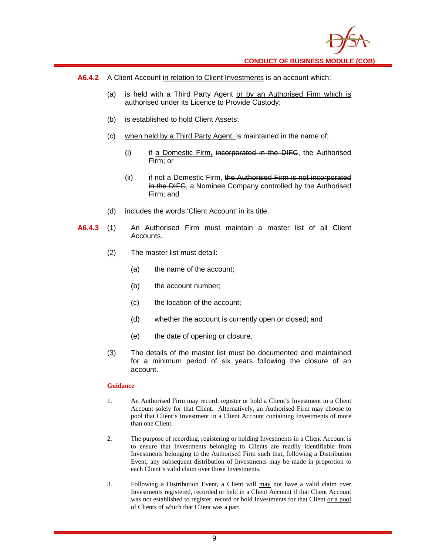

- **A6.4.2** A Client Account in relation to Client Investments is an account which:
	- (a) is held with a Third Party Agent or by an Authorised Firm which is authorised under its Licence to Provide Custody;
	- (b) is established to hold Client Assets;
	- (c) when held by a Third Party Agent, is maintained in the name of;
		- (i) if a Domestic Firm, incorporated in the DIFC, the Authorised Firm; or
		- (ii) if not a Domestic Firm, the Authorised Firm is not incorporated in the DIFC, a Nominee Company controlled by the Authorised Firm; and
	- (d) includes the words 'Client Account' in its title.
- **A6.4.3** (1) An Authorised Firm must maintain a master list of all Client Accounts.
	- (2) The master list must detail:
		- (a) the name of the account;
		- (b) the account number;
		- (c) the location of the account;
		- (d) whether the account is currently open or closed; and
		- (e) the date of opening or closure.
	- (3) The details of the master list must be documented and maintained for a minimum period of six years following the closure of an account.

#### **Guidance**

- 1. An Authorised Firm may record, register or hold a Client's Investment in a Client Account solely for that Client. Alternatively, an Authorised Firm may choose to pool that Client's Investment in a Client Account containing Investments of more than one Client.
- 2. The purpose of recording, registering or holding Investments in a Client Account is to ensure that Investments belonging to Clients are readily identifiable from Investments belonging to the Authorised Firm such that, following a Distribution Event, any subsequent distribution of Investments may be made in proportion to each Client's valid claim over those Investments.
- 3. Following a Distribution Event, a Client will may not have a valid claim over Investments registered, recorded or held in a Client Account if that Client Account was not established to register, record or hold Investments for that Client or a pool of Clients of which that Client was a part.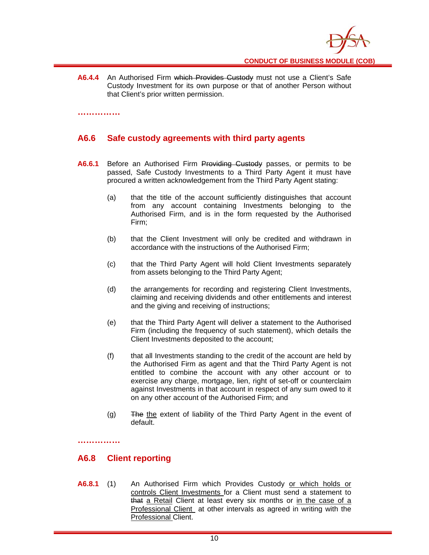**A6.4.4** An Authorised Firm which Provides Custody must not use a Client's Safe Custody Investment for its own purpose or that of another Person without that Client's prior written permission.

**……………** 

## **A6.6 Safe custody agreements with third party agents**

- **A6.6.1** Before an Authorised Firm Providing Custody passes, or permits to be passed, Safe Custody Investments to a Third Party Agent it must have procured a written acknowledgement from the Third Party Agent stating:
	- (a) that the title of the account sufficiently distinguishes that account from any account containing Investments belonging to the Authorised Firm, and is in the form requested by the Authorised Firm;
	- (b) that the Client Investment will only be credited and withdrawn in accordance with the instructions of the Authorised Firm;
	- (c) that the Third Party Agent will hold Client Investments separately from assets belonging to the Third Party Agent;
	- (d) the arrangements for recording and registering Client Investments, claiming and receiving dividends and other entitlements and interest and the giving and receiving of instructions;
	- (e) that the Third Party Agent will deliver a statement to the Authorised Firm (including the frequency of such statement), which details the Client Investments deposited to the account;
	- (f) that all Investments standing to the credit of the account are held by the Authorised Firm as agent and that the Third Party Agent is not entitled to combine the account with any other account or to exercise any charge, mortgage, lien, right of set-off or counterclaim against Investments in that account in respect of any sum owed to it on any other account of the Authorised Firm; and
	- (g) The the extent of liability of the Third Party Agent in the event of default.

**……………** 

#### **A6.8 Client reporting**

**A6.8.1** (1) An Authorised Firm which Provides Custody or which holds or controls Client Investments for a Client must send a statement to that a Retail Client at least every six months or in the case of a Professional Client at other intervals as agreed in writing with the Professional Client.